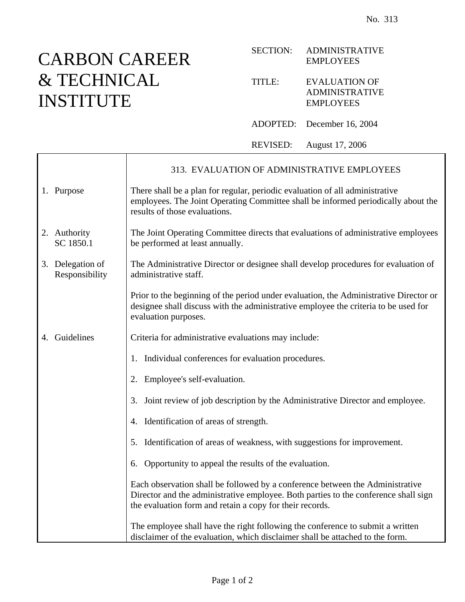## CARBO<sub>.</sub> & TECH INSTITU

| CARBON CAREER            |                                    |                                                                                                                                                                                                    | <b>SECTION:</b> | <b>ADMINISTRATIVE</b><br><b>EMPLOYEES</b>                                                                                                                                    |
|--------------------------|------------------------------------|----------------------------------------------------------------------------------------------------------------------------------------------------------------------------------------------------|-----------------|------------------------------------------------------------------------------------------------------------------------------------------------------------------------------|
| & TECHNICAL<br>INSTITUTE |                                    |                                                                                                                                                                                                    | TITLE:          | <b>EVALUATION OF</b><br><b>ADMINISTRATIVE</b><br><b>EMPLOYEES</b>                                                                                                            |
|                          |                                    |                                                                                                                                                                                                    | ADOPTED:        | December 16, 2004                                                                                                                                                            |
|                          |                                    |                                                                                                                                                                                                    | <b>REVISED:</b> | August 17, 2006                                                                                                                                                              |
|                          |                                    |                                                                                                                                                                                                    |                 | 313. EVALUATION OF ADMINISTRATIVE EMPLOYEES                                                                                                                                  |
|                          | 1. Purpose                         | There shall be a plan for regular, periodic evaluation of all administrative<br>employees. The Joint Operating Committee shall be informed periodically about the<br>results of those evaluations. |                 |                                                                                                                                                                              |
|                          | 2. Authority<br>SC 1850.1          | The Joint Operating Committee directs that evaluations of administrative employees<br>be performed at least annually.                                                                              |                 |                                                                                                                                                                              |
|                          | 3. Delegation of<br>Responsibility | The Administrative Director or designee shall develop procedures for evaluation of<br>administrative staff.                                                                                        |                 |                                                                                                                                                                              |
|                          |                                    | evaluation purposes.                                                                                                                                                                               |                 | Prior to the beginning of the period under evaluation, the Administrative Director or<br>designee shall discuss with the administrative employee the criteria to be used for |
|                          | 4. Guidelines                      | Criteria for administrative evaluations may include:                                                                                                                                               |                 |                                                                                                                                                                              |
|                          |                                    | Individual conferences for evaluation procedures.<br>1.                                                                                                                                            |                 |                                                                                                                                                                              |
|                          |                                    | 2. Employee's self-evaluation.                                                                                                                                                                     |                 |                                                                                                                                                                              |
|                          |                                    | 3.                                                                                                                                                                                                 |                 | Joint review of job description by the Administrative Director and employee.                                                                                                 |
|                          |                                    | 4. Identification of areas of strength.                                                                                                                                                            |                 |                                                                                                                                                                              |
|                          |                                    | Identification of areas of weakness, with suggestions for improvement.<br>5.                                                                                                                       |                 |                                                                                                                                                                              |
|                          |                                    | Opportunity to appeal the results of the evaluation.<br>6.                                                                                                                                         |                 |                                                                                                                                                                              |
|                          |                                    |                                                                                                                                                                                                    |                 |                                                                                                                                                                              |

Each observation shall be followed by a conference between the Administrative Director and the administrative employee. Both parties to the conference shall sign the evaluation form and retain a copy for their records.

The employee shall have the right following the conference to submit a written disclaimer of the evaluation, which disclaimer shall be attached to the form.